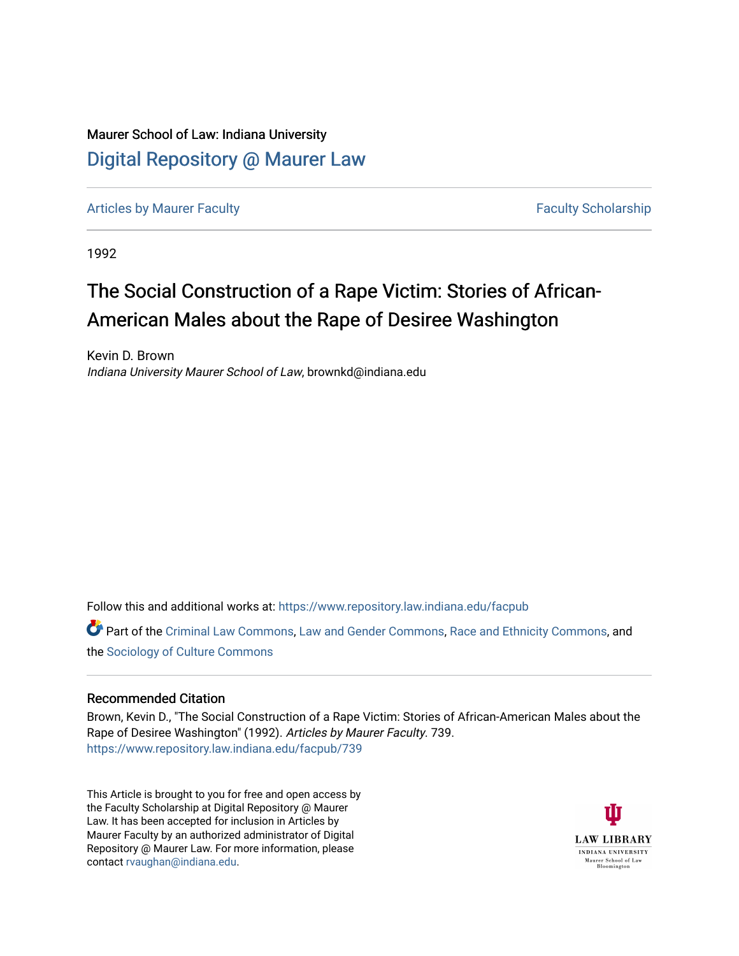### Maurer School of Law: Indiana University [Digital Repository @ Maurer Law](https://www.repository.law.indiana.edu/)

[Articles by Maurer Faculty](https://www.repository.law.indiana.edu/facpub) **Faculty Faculty Faculty** Scholarship

1992

# The Social Construction of a Rape Victim: Stories of African-American Males about the Rape of Desiree Washington

Kevin D. Brown Indiana University Maurer School of Law, brownkd@indiana.edu

Follow this and additional works at: [https://www.repository.law.indiana.edu/facpub](https://www.repository.law.indiana.edu/facpub?utm_source=www.repository.law.indiana.edu%2Ffacpub%2F739&utm_medium=PDF&utm_campaign=PDFCoverPages)

Part of the [Criminal Law Commons,](http://network.bepress.com/hgg/discipline/912?utm_source=www.repository.law.indiana.edu%2Ffacpub%2F739&utm_medium=PDF&utm_campaign=PDFCoverPages) [Law and Gender Commons](http://network.bepress.com/hgg/discipline/1298?utm_source=www.repository.law.indiana.edu%2Ffacpub%2F739&utm_medium=PDF&utm_campaign=PDFCoverPages), [Race and Ethnicity Commons](http://network.bepress.com/hgg/discipline/426?utm_source=www.repository.law.indiana.edu%2Ffacpub%2F739&utm_medium=PDF&utm_campaign=PDFCoverPages), and the [Sociology of Culture Commons](http://network.bepress.com/hgg/discipline/431?utm_source=www.repository.law.indiana.edu%2Ffacpub%2F739&utm_medium=PDF&utm_campaign=PDFCoverPages) 

### Recommended Citation

Brown, Kevin D., "The Social Construction of a Rape Victim: Stories of African-American Males about the Rape of Desiree Washington" (1992). Articles by Maurer Faculty. 739. [https://www.repository.law.indiana.edu/facpub/739](https://www.repository.law.indiana.edu/facpub/739?utm_source=www.repository.law.indiana.edu%2Ffacpub%2F739&utm_medium=PDF&utm_campaign=PDFCoverPages)

This Article is brought to you for free and open access by the Faculty Scholarship at Digital Repository @ Maurer Law. It has been accepted for inclusion in Articles by Maurer Faculty by an authorized administrator of Digital Repository @ Maurer Law. For more information, please contact [rvaughan@indiana.edu](mailto:rvaughan@indiana.edu).

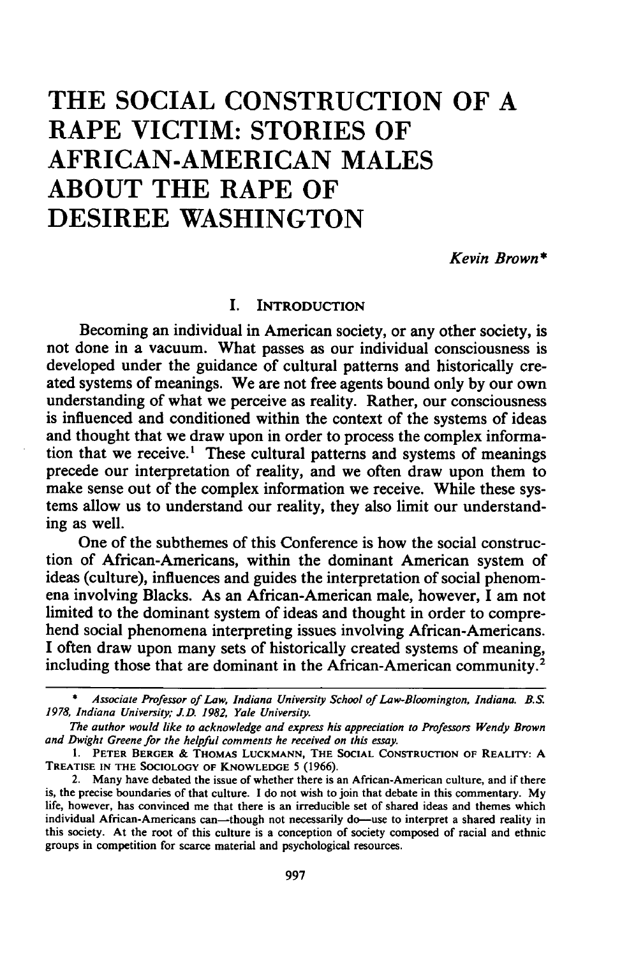## **THE SOCIAL CONSTRUCTION OF A RAPE VICTIM: STORIES OF AFRICAN-AMERICAN MALES ABOUT THE RAPE OF DESIREE WASHINGTON**

*Kevin Brown\**

#### **I. INTRODUCTION**

Becoming an individual in American society, or any other society, is not done in a vacuum. What passes as our individual consciousness is developed under the guidance of cultural patterns and historically created systems of meanings. We are not free agents bound only **by** our own understanding of what we perceive as reality. Rather, our consciousness is influenced and conditioned within the context of the systems of ideas and thought that we draw upon in order to process the complex information that we receive.' These cultural patterns and systems of meanings precede our interpretation of reality, and we often draw upon them to make sense out of the complex information we receive. While these systems allow us to understand our reality, they also limit our understanding as well.

One of the subthemes of this Conference is how the social construction of African-Americans, within the dominant American system of ideas (culture), influences and guides the interpretation of social phenomena involving Blacks. As an African-American male, however, I am not limited to the dominant system of ideas and thought in order to comprehend social phenomena interpreting issues involving African-Americans. I often draw upon many sets of historically created systems of meaning, including those that are dominant in the African-American community. <sup>2</sup>

**<sup>\*</sup>** *Associate Professor of Law, Indiana University School of Law-Bloomington, Indiana. B.S. 1978, Indiana University; .iD. 1982, Yale University.*

*The author would like to acknowledge and express his appreciation to Professors Wendy Brown and Dwight Greene for the helpful comments he received on this essay.* **1. PETER BERGER & THOMAS LUCKMANN, THE SOCIAL CONSTRUCTION OF REALITY: A**

**TREATISE IN THE SOCIOLOGY OF KNOWLEDGE 5 (1966).**

<sup>2.</sup> Many have debated the issue of whether there is an African-American culture, and if there is, the precise boundaries of that culture. **I** do not wish to join that debate in this commentary. **My** life, however, has convinced me that there is an irreducible set of shared ideas and themes which individual African-Americans can-though not necessarily do-use to interpret a shared reality in this society. At the root of this culture is a conception of society composed of racial and ethnic groups in competition for scarce material and psychological resources.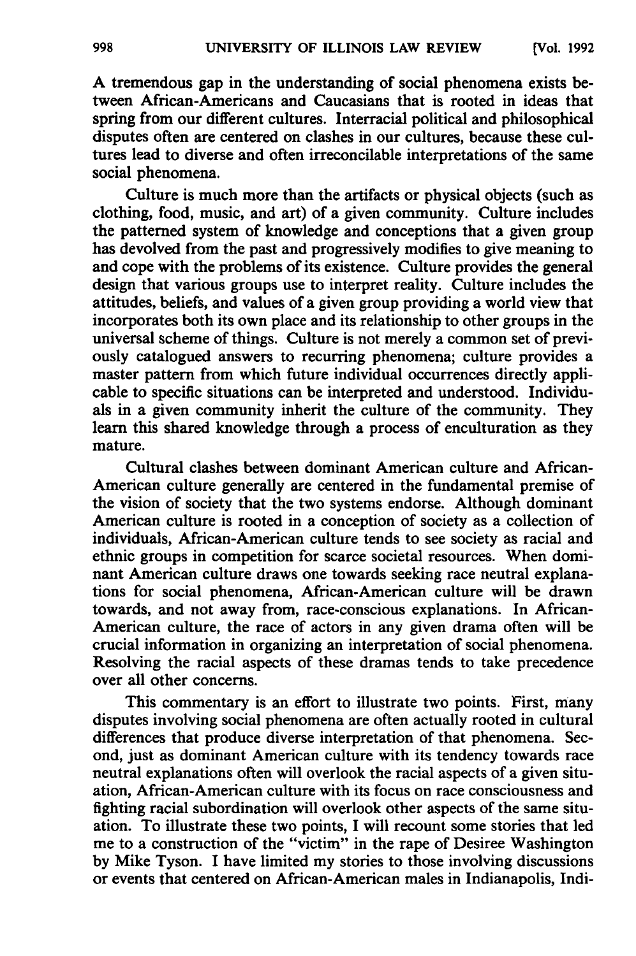A tremendous gap in the understanding of social phenomena exists between African-Americans and Caucasians that is rooted in ideas that spring from our different cultures. Interracial political and philosophical disputes often are centered on clashes in our cultures, because these cultures lead to diverse and often irreconcilable interpretations of the same social phenomena.

Culture is much more than the artifacts or physical objects (such as clothing, food, music, and art) of a given community. Culture includes the patterned system of knowledge and conceptions that a given group has devolved from the past and progressively modifies to give meaning to and cope with the problems of its existence. Culture provides the general design that various groups use to interpret reality. Culture includes the attitudes, beliefs, and values of a given group providing a world view that incorporates both its own place and its relationship to other groups in the universal scheme of things. Culture is not merely a common set of previously catalogued answers to recurring phenomena; culture provides a master pattern from which future individual occurrences directly applicable to specific situations can be interpreted and understood. Individuals in a given community inherit the culture of the community. They learn this shared knowledge through a process of enculturation as they mature.

Cultural clashes between dominant American culture and African-American culture generally are centered in the fundamental premise of the vision of society that the two systems endorse. Although dominant American culture is rooted in a conception of society as a collection of individuals, African-American culture tends to see society as racial and ethnic groups in competition for scarce societal resources. When dominant American culture draws one towards seeking race neutral explanations for social phenomena, African-American culture will be drawn towards, and not away from, race-conscious explanations. In African-American culture, the race of actors in any given drama often will be crucial information in organizing an interpretation of social phenomena. Resolving the racial aspects of these dramas tends to take precedence over all other concerns.

This commentary is an effort to illustrate two points. First, many disputes involving social phenomena are often actually rooted in cultural differences that produce diverse interpretation of that phenomena. Second, just as dominant American culture with its tendency towards race neutral explanations often will overlook the racial aspects of a given situation, African-American culture with its focus on race consciousness and fighting racial subordination will overlook other aspects of the same situation. To illustrate these two points, I will recount some stories that led me to a construction of the "victim" in the rape of Desiree Washington by Mike Tyson. I have limited my stories to those involving discussions or events that centered on African-American males in Indianapolis, Indi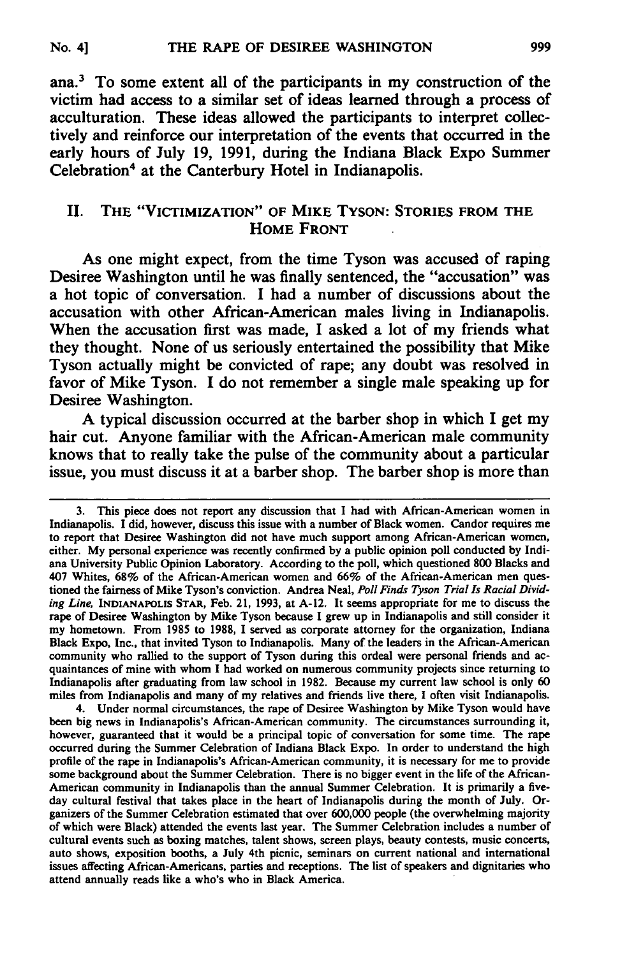**No. 4]**

ana.<sup>3</sup> To some extent all of the participants in my construction of the victim had access to a similar set of ideas learned through a process of acculturation. These ideas allowed the participants to interpret collectively and reinforce our interpretation of the events that occurred in the early hours of July **19, 1991,** during the Indiana Black Expo Summer Celebration<sup>4</sup> at the Canterbury Hotel in Indianapolis.

### II. **THE "VICTIMIZATION" OF MIKE TYSON: STORIES FROM THE HOME FRONT**

As one might expect, from the time Tyson was accused of raping Desiree Washington until he was finally sentenced, the "accusation" was a hot topic of conversation. I had a number of discussions about the accusation with other African-American males living in Indianapolis. When the accusation first was made, I asked a lot of my friends what they thought. None of us seriously entertained the possibility that Mike Tyson actually might be convicted of rape; any doubt was resolved in favor of Mike Tyson. I do not remember a single male speaking up for Desiree Washington.

**A** typical discussion occurred at the barber shop in which **I** get my hair cut. Anyone familiar with the African-American male community knows that to really take the pulse of the community about a particular issue, you must discuss it at a barber shop. The barber shop is more than

**<sup>3.</sup>** This piece does not report any discussion that I had with African-American women in Indianapolis. **I** did, however, discuss this issue with a number of Black women. Candor requires me to report that Desiree Washington did not have much support among African-American women, either. **My** personal experience was recently confirmed **by** a public opinion poll conducted **by** Indiana University Public Opinion Laboratory. According to the poll, which questioned **800** Blacks and 407 Whites, **68%** of the African-American women and **66%** of the African-American men questioned the fairness of Mike Tyson's conviction. Andrea Neal, *Poll Finds Tyson Trial Is Racial Dividing Line,* **INDIANAPOLIS** STAR, Feb. 21, **1993,** at **A-12.** It seems appropriate for me to discuss the rape of Desiree Washington **by** Mike Tyson because I grew up in Indianapolis and still consider it my hometown. From **1985** to **1988, I** served as corporate attorney for the organization, Indiana Black Expo, Inc., that invited Tyson to Indianapolis. Many of the leaders in the African-American community who rallied to the support of Tyson during this ordeal were personal friends and acquaintances of mine with whom **I** had worked on numerous community projects since returning to Indianapolis after graduating from law school in **1982.** Because my current law school is only **60** miles from Indianapolis and many of my relatives and friends live there, I often visit Indianapolis.

<sup>4.</sup> Under normal circumstances, the rape of Desiree Washington **by** Mike Tyson would have been big news in Indianapolis's African-American community. The circumstances surrounding it, however, guaranteed that it would be a principal topic of conversation for some time. The rape occurred during the Summer Celebration of Indiana Black Expo. In order to understand the high profile of the rape in Indianapolis's African-American community, it is necessary for me to provide some background about the Summer Celebration. There is no bigger event in the life of the African-American community in Indianapolis than the annual Summer Celebration. It is primarily a fiveday cultural festival that takes place in the heart of Indianapolis during the month of July. Organizers of the Summer Celebration estimated that over **600,000** people (the overwhelming majority of which were Black) attended the events last year. The Summer Celebration includes a number of cultural events such as boxing matches, talent shows, screen plays, beauty contests, music concerts, auto shows, exposition booths, a July 4th picnic, seminars on current national and international issues affecting African-Americans, parties and receptions. The list of speakers and dignitaries who attend annually reads like a who's who in Black America.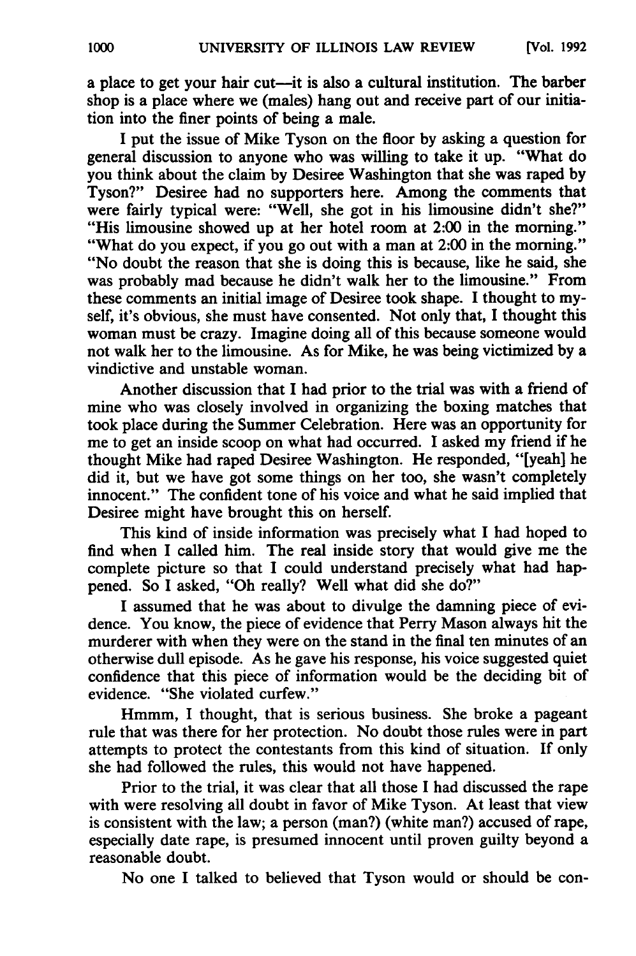a place to get your hair cut-it is also a cultural institution. The barber shop is a place where we (males) hang out and receive part of our initiation into the finer points of being a male.

I put the issue of Mike Tyson on the floor **by** asking a question for general discussion to anyone who was willing to take it up. "What do you think about the claim **by** Desiree Washington that she was raped **by** Tyson?" Desiree had no supporters here. Among the comments that were fairly typical were: "Well, she got in his limousine didn't she?" "His limousine showed up at her hotel room at 2:00 in the morning." "What do you expect, if you go out with a man at 2:00 in the morning." "No doubt the reason that she is doing this is because, like he said, she was probably mad because he didn't walk her to the limousine." From these comments an initial image of Desiree took shape. **I** thought to myself, it's obvious, she must have consented. Not only that, I thought this woman must be crazy. Imagine doing all of this because someone would not walk her to the limousine. As for Mike, he was being victimized **by** a vindictive and unstable woman.

Another discussion that **I** had prior to the trial was with a friend of mine who was closely involved in organizing the boxing matches that took place during the Summer Celebration. Here was an opportunity for me to get an inside scoop on what had occurred. **I** asked my friend if he thought Mike had raped Desiree Washington. He responded, "[yeah] he did it, but we have got some things on her too, she wasn't completely innocent." The confident tone of his voice and what he said implied that Desiree might have brought this on herself.

This kind of inside information was precisely what **I** had hoped to find when **I** called him. The real inside story that would give me the complete picture so that **I** could understand precisely what had happened. So **I** asked, "Oh really? Well what did she do?"

**I** assumed that he was about to divulge the damning piece of evidence. You know, the piece of evidence that Perry Mason always hit the murderer with when they were on the stand in the final ten minutes of an otherwise dull episode. As he gave his response, his voice suggested quiet confidence that this piece of information would be the deciding bit of evidence. "She violated curfew."

Hmmm, I thought, that is serious business. She broke a pageant rule that was there for her protection. No doubt those rules were in part attempts to protect the contestants from this kind of situation. If only she had followed the rules, this would not have happened.

Prior to the trial, it was clear that all those I had discussed the rape with were resolving all doubt in favor of Mike Tyson. At least that view is consistent with the law; a person (man?) (white man?) accused of rape, especially date rape, is presumed innocent until proven guilty beyond a reasonable doubt.

No one I talked to believed that Tyson would or should be con-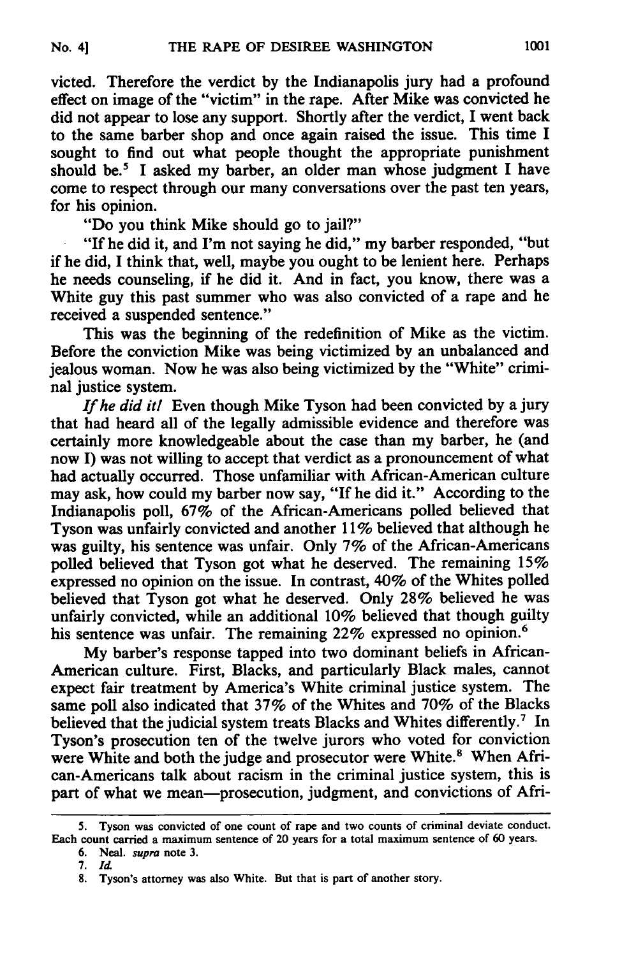victed. Therefore the verdict **by** the Indianapolis jury had a profound effect on image of the "victim" in the rape. After Mike was convicted he did not appear to lose any support. Shortly after the verdict, I went back to the same barber shop and once again raised the issue. This time **I** sought to find out what people thought the appropriate punishment should be.<sup>5</sup> I asked my barber, an older man whose judgment I have come to respect through our many conversations over the past ten years, for his opinion.

**"Do** you think Mike should go to jail?"

"If he did it, and I'm not saying he did," my barber responded, "but if he did, I think that, well, maybe you ought to be lenient here. Perhaps he needs counseling, if he did it. And in fact, you know, there was a White guy this past summer who was also convicted of a rape and he received a suspended sentence."

This was the beginning of the redefinition of Mike as the victim. Before the conviction Mike was being victimized **by** an unbalanced and jealous woman. Now he was also being victimized **by** the "White" criminal justice system.

*If he did it!* Even though Mike Tyson had been convicted **by** a jury that had heard all of the legally admissible evidence and therefore was certainly more knowledgeable about the case than my barber, he (and now I) was not willing to accept that verdict as a pronouncement of what had actually occurred. Those unfamiliar with African-American culture may ask, how could my barber now say, "If he did it." According to the Indianapolis poll, **67%** of the African-Americans polled believed that Tyson was unfairly convicted and another **11%** believed that although he was guilty, his sentence was unfair. Only **7%** of the African-Americans polled believed that Tyson got what he deserved. The remaining **15%** expressed no opinion on the issue. In contrast, 40% of the Whites polled believed that Tyson got what he deserved. Only **28%** believed he was unfairly convicted, while an additional **10%** believed that though guilty his sentence was unfair. The remaining 22% expressed no opinion.<sup>6</sup>

**My** barber's response tapped into two dominant beliefs in African-American culture. First, Blacks, and particularly Black males, cannot expect fair treatment **by** America's White criminal justice system. The same poll also indicated that **37%** of the Whites and **70%** of the Blacks believed that the judicial system treats Blacks and Whites differently.<sup>7</sup> In Tyson's prosecution ten of the twelve jurors who voted for conviction were White and both the judge and prosecutor were White.<sup>8</sup> When African-Americans talk about racism in the criminal justice system, this is part of what we mean-prosecution, judgment, and convictions of Afri-

**<sup>5.</sup>** Tyson was convicted of one count of rape and two counts of criminal deviate conduct. Each count carried a maximum sentence of 20 years for a total maximum sentence of **60** years.

**<sup>6.</sup>** Neal. *supra* note **3.**

**<sup>7.</sup>** *Id*

**<sup>8.</sup>** Tyson's attorney was also White. But that is part of another story.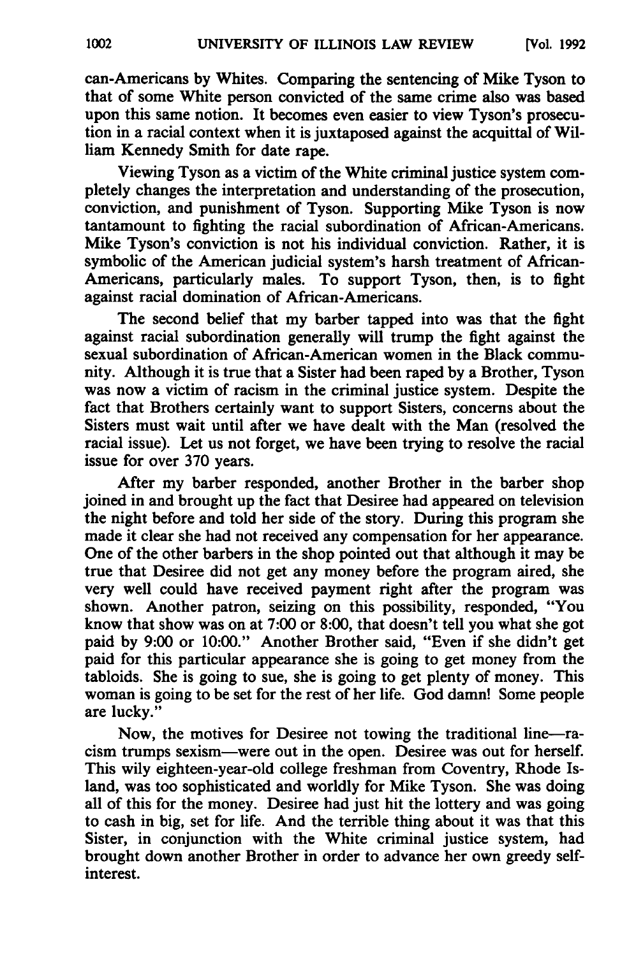can-Americans **by** Whites. Comparing the sentencing of Mike Tyson to that of some White person convicted of the same crime also was based upon this same notion. It becomes even easier to view Tyson's prosecution in a racial context when it is juxtaposed against the acquittal of William Kennedy Smith for date rape.

Viewing Tyson as a victim of the White criminal justice system completely changes the interpretation and understanding of the prosecution, conviction, and punishment of Tyson. Supporting Mike Tyson is now tantamount to fighting the racial subordination of African-Americans. Mike Tyson's conviction is not his individual conviction. Rather, it is symbolic of the American judicial system's harsh treatment of African-Americans, particularly males. To support Tyson, then, is to fight against racial domination of African-Americans.

The second belief that my barber tapped into was that the fight against racial subordination generally will trump the fight against the sexual subordination of African-American women in the Black community. Although it is true that a Sister had been raped by a Brother, Tyson was now a victim of racism in the criminal justice system. Despite the fact that Brothers certainly want to support Sisters, concerns about the Sisters must wait until after we have dealt with the Man (resolved the racial issue). Let us not forget, we have been trying to resolve the racial issue for over 370 years.

After my barber responded, another Brother in the barber shop joined in and brought up the fact that Desiree had appeared on television the night before and told her side of the story. During this program she made it clear she had not received any compensation for her appearance. One of the other barbers in the shop pointed out that although it may be true that Desiree did not get any money before the program aired, she very well could have received payment right after the program was shown. Another patron, seizing on this possibility, responded, "You know that show was on at 7:00 or 8:00, that doesn't tell you what she got paid **by** 9:00 or 10:00." Another Brother said, "Even if she didn't get paid for this particular appearance she is going to get money from the tabloids. She is going to sue, she is going to get plenty of money. This woman is going to be set for the rest of her life. God damn! Some people are lucky."

Now, the motives for Desiree not towing the traditional line-racism trumps sexism-were out in the open. Desiree was out for herself. This wily eighteen-year-old college freshman from Coventry, Rhode Island, was too sophisticated and worldly for Mike Tyson. She was doing all of this for the money. Desiree had just hit the lottery and was going to cash in big, set for life. And the terrible thing about it was that this Sister, in conjunction with the White criminal justice system, had brought down another Brother in order to advance her own greedy selfinterest.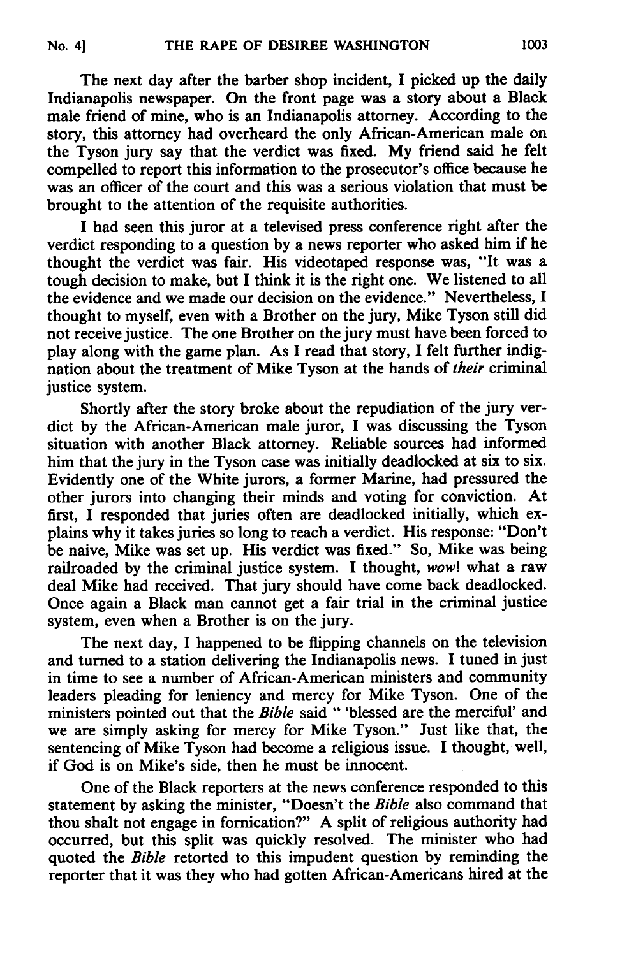The next day after the barber shop incident, I picked up the daily Indianapolis newspaper. On the front page was a story about a Black male friend of mine, who is an Indianapolis attorney. According to the story, this attorney had overheard the only African-American male on the Tyson jury say that the verdict was fixed. **My** friend said he felt compelled to report this information to the prosecutor's office because he was an officer of the court and this was a serious violation that must be brought to the attention of the requisite authorities.

**I** had seen this juror at a televised press conference right after the verdict responding to a question **by** a news reporter who asked him if he thought the verdict was fair. His videotaped response was, "It was a tough decision to make, but I think it is the right one. We listened to all the evidence and we made our decision on the evidence." Nevertheless, I thought to myself, even with a Brother on the jury, Mike Tyson still did not receive justice. The one Brother on the jury must have been forced to play along with the game plan. As **I** read that story, **I** felt further indignation about the treatment of Mike Tyson at the hands of *their* criminal justice system.

Shortly after the story broke about the repudiation of the jury verdict **by** the African-American male juror, I was discussing the Tyson situation with another Black attorney. Reliable sources had informed him that the jury in the Tyson case was initially deadlocked at six to six. Evidently one of the White jurors, a former Marine, had pressured the other jurors into changing their minds and voting for conviction. At first, **I** responded that juries often are deadlocked initially, which explains why it takes juries so long to reach a verdict. His response: "Don't be naive, Mike was set up. His verdict was fixed." So, Mike was being railroaded **by** the criminal justice system. I thought, *wow!* what a raw deal Mike had received. That jury should have come back deadlocked. Once again a Black man cannot get a fair trial in the criminal justice system, even when a Brother is on the jury.

The next day, I happened to be flipping channels on the television and turned to a station delivering the Indianapolis news. **I** tuned in just in time to see a number of African-American ministers and community leaders pleading for leniency and mercy for Mike Tyson. One of the ministers pointed out that the *Bible* said " 'blessed are the merciful' and we are simply asking for mercy for Mike Tyson." Just like that, the sentencing of Mike Tyson had become a religious issue. **I** thought, well, if God is on Mike's side, then he must be innocent.

One of the Black reporters at the news conference responded to this statement **by** asking the minister, "Doesn't the *Bible* also command that thou shalt not engage in fornication?" **A** split of religious authority had occurred, but this split was quickly resolved. The minister who had quoted the *Bible* retorted to this impudent question **by** reminding the reporter that it was they who had gotten African-Americans hired at the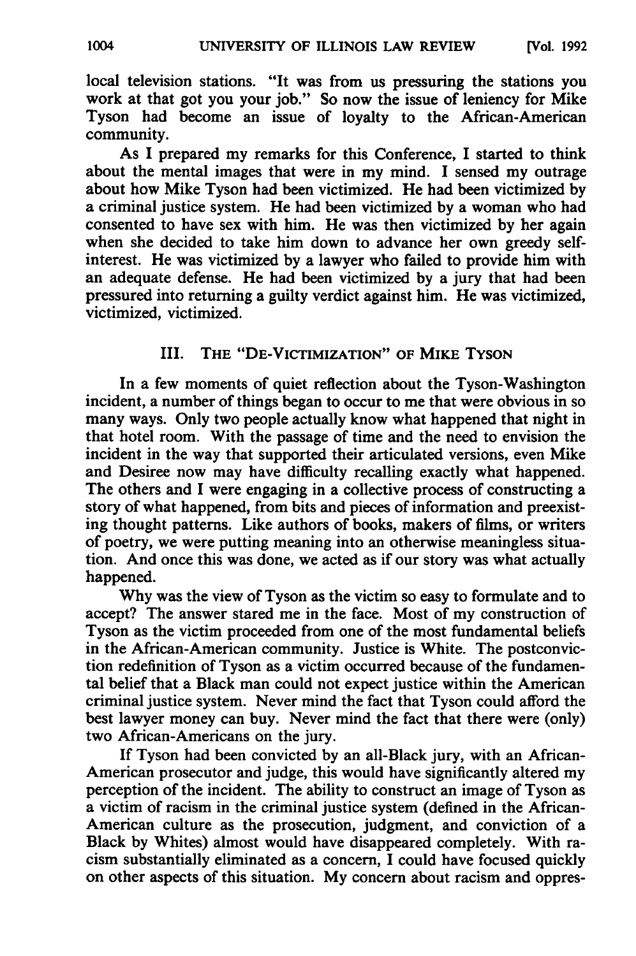**[Vol. 1992**

local television stations. "It was from us pressuring the stations you work at that got you your **job."** So now the issue of leniency for Mike Tyson had become an issue of loyalty to the African-American community.

As I prepared my remarks for this Conference, **I** started to think about the mental images that were in my mind. I sensed my outrage about how Mike Tyson had been victimized. He had been victimized **by** a criminal justice system. He had been victimized **by** a woman who had consented to have sex with him. He was then victimized **by** her again when she decided to take him down to advance her own greedy selfinterest. He was victimized **by** a lawyer who failed to provide him with an adequate defense. He had been victimized **by** a jury that had been pressured into returning a guilty verdict against him. He was victimized, victimized, victimized.

### III. **THE "DE-VICTIMIZATION" OF MIKE TYSON**

In a few moments of quiet reflection about the Tyson-Washington incident, a number of things began to occur to me that were obvious in so many ways. Only two people actually know what happened that night in that hotel room. With the passage of time and the need to envision the incident in the way that supported their articulated versions, even Mike and Desiree now may have difficulty recalling exactly what happened. The others and I were engaging in a collective process of constructing a story of what happened, from bits and pieces of information and preexisting thought patterns. Like authors of books, makers of films, or writers of poetry, we were putting meaning into an otherwise meaningless situation. And once this was done, we acted as if our story was what actually happened.

**Why** was the view of Tyson as the victim so easy to formulate and to accept? The answer stared me in the face. Most of my construction of Tyson as the victim proceeded from one of the most fundamental beliefs in the African-American community. Justice is White. The postconviction redefinition of Tyson as a victim occurred because of the fundamental belief that a Black man could not expect justice within the American criminal justice system. Never mind the fact that Tyson could afford the best lawyer money can buy. Never mind the fact that there were (only) two African-Americans on the jury.

If Tyson had been convicted **by** an all-Black jury, with an African-American prosecutor and judge, this would have significantly altered my perception of the incident. The ability to construct an image of Tyson as a victim of racism in the criminal justice system (defined in the African-American culture as the prosecution, judgment, and conviction of a Black **by** Whites) almost would have disappeared completely. With racism substantially eliminated as a concern, **I** could have focused quickly on other aspects of this situation. **My** concern about racism and oppres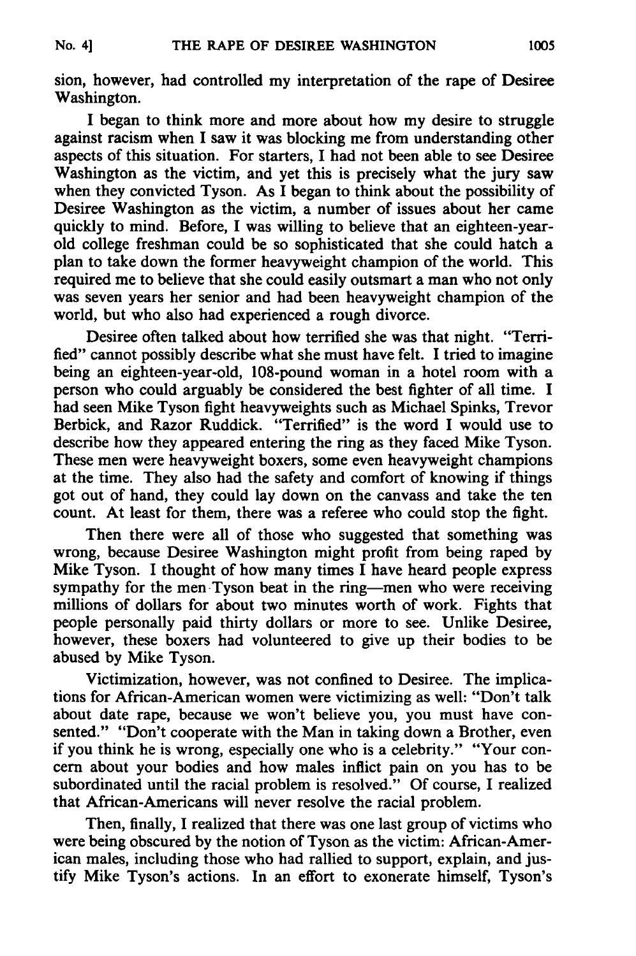sion, however, had controlled my interpretation of the rape of Desiree Washington.

**I** began to think more and more about how my desire to struggle against racism when **I** saw it was blocking me from understanding other aspects of this situation. For starters, I had not been able to see Desiree Washington as the victim, and yet this is precisely what the jury saw when they convicted Tyson. As I began to think about the possibility of Desiree Washington as the victim, a number of issues about her came quickly to mind. Before, I was willing to believe that an eighteen-yearold college freshman could be so sophisticated that she could hatch a plan to take down the former heavyweight champion of the world. This required me to believe that she could easily outsmart a man who not only was seven years her senior and had been heavyweight champion of the world, but who also had experienced a rough divorce.

Desiree often talked about how terrified she was that night. **"Terrified"** cannot possibly describe what she must have felt. I tried to imagine being an eighteen-year-old, 108-pound woman in a hotel room with a person who could arguably be considered the best fighter of all time. I had seen Mike Tyson fight heavyweights such as Michael Spinks, Trevor Berbick, and Razor Ruddick. "Terrified" is the word I would use to describe how they appeared entering the ring as they faced Mike Tyson. These men were heavyweight boxers, some even heavyweight champions at the time. They also had the safety and comfort of knowing if things got out of hand, they could lay down on the canvass and take the ten count. At least for them, there was a referee who could stop the fight.

Then there were all of those who suggested that something was wrong, because Desiree Washington might profit from being raped **by** Mike Tyson. I thought of how many times I have heard people express sympathy for the men Tyson beat in the ring-men who were receiving millions of dollars for about two minutes worth of work. Fights that people personally paid thirty dollars or more to see. Unlike Desiree, however, these boxers had volunteered to give up their bodies to be abused **by** Mike Tyson.

Victimization, however, was not confined to Desiree. The implications for African-American women were victimizing as well: "Don't talk about date rape, because we won't believe you, you must have consented." "Don't cooperate with the Man in taking down a Brother, even if you think he is wrong, especially one who is a celebrity." "Your concern about your bodies and how males inflict pain on you has to be subordinated until the racial problem is resolved." **Of** course, I realized that African-Americans will never resolve the racial problem.

Then, finally, **I** realized that there was one last group of victims who were being obscured **by** the notion of Tyson as the victim: African-American males, including those who had rallied to support, explain, and justify Mike Tyson's actions. In an effort to exonerate himself, Tyson's